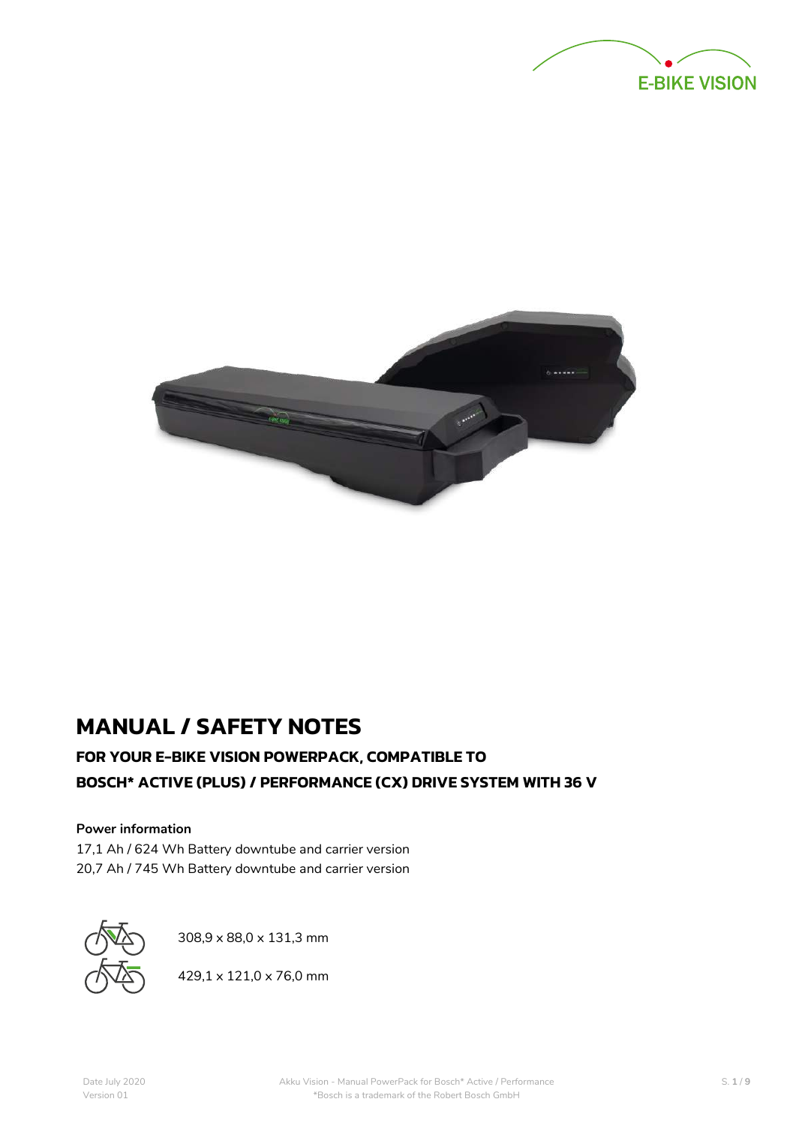



# **MANUAL / SAFETY NOTES**

# **FOR YOUR E-BIKE VISION POWERPACK, COMPATIBLE TO BOSCH\* ACTIVE (PLUS) / PERFORMANCE (CX) DRIVE SYSTEM WITH 36 V**

### **Power information**

17,1 Ah / 624 Wh Battery downtube and carrier version 20,7 Ah / 745 Wh Battery downtube and carrier version



308,9 x 88,0 x 131,3 mm

429,1 x 121,0 x 76,0 mm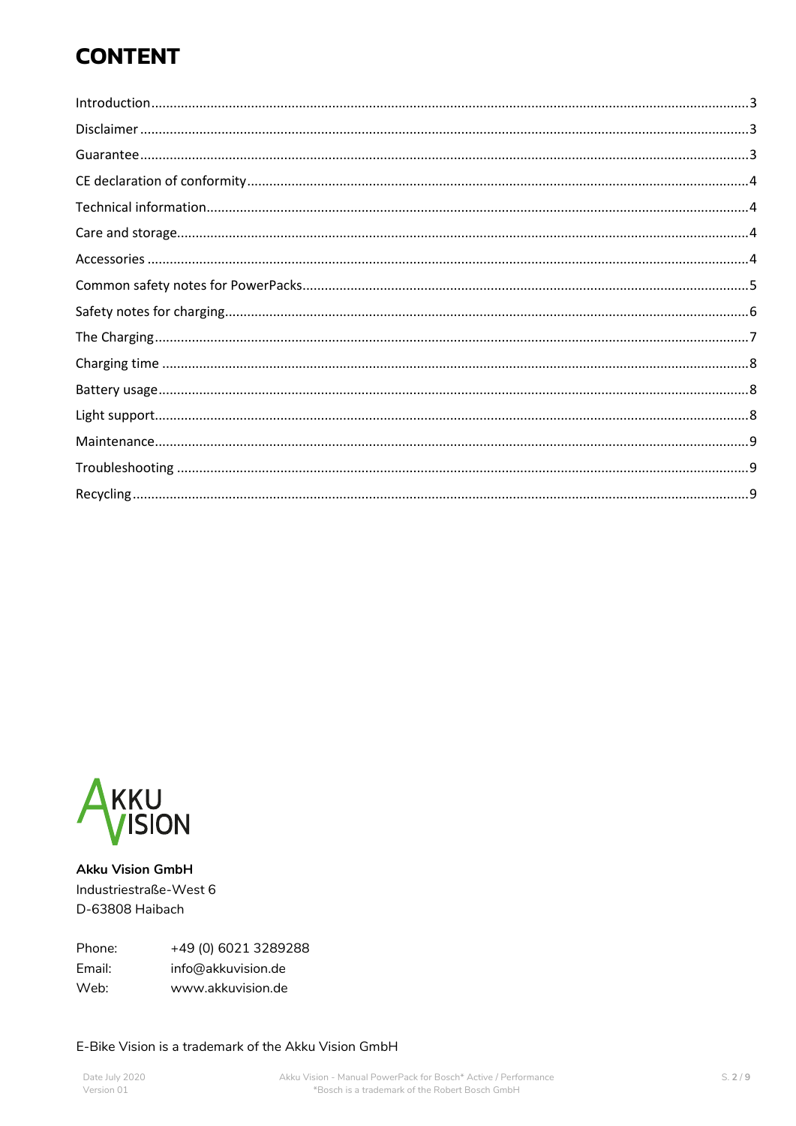# **CONTENT**



**Akku Vision GmbH** Industriestraße-West 6 D-63808 Haibach

Phone: +49 (0) 6021 3289288 Email: info@akkuvision.de Web: www.akkuvision.de

### E-Bike Vision is a trademark of the Akku Vision GmbH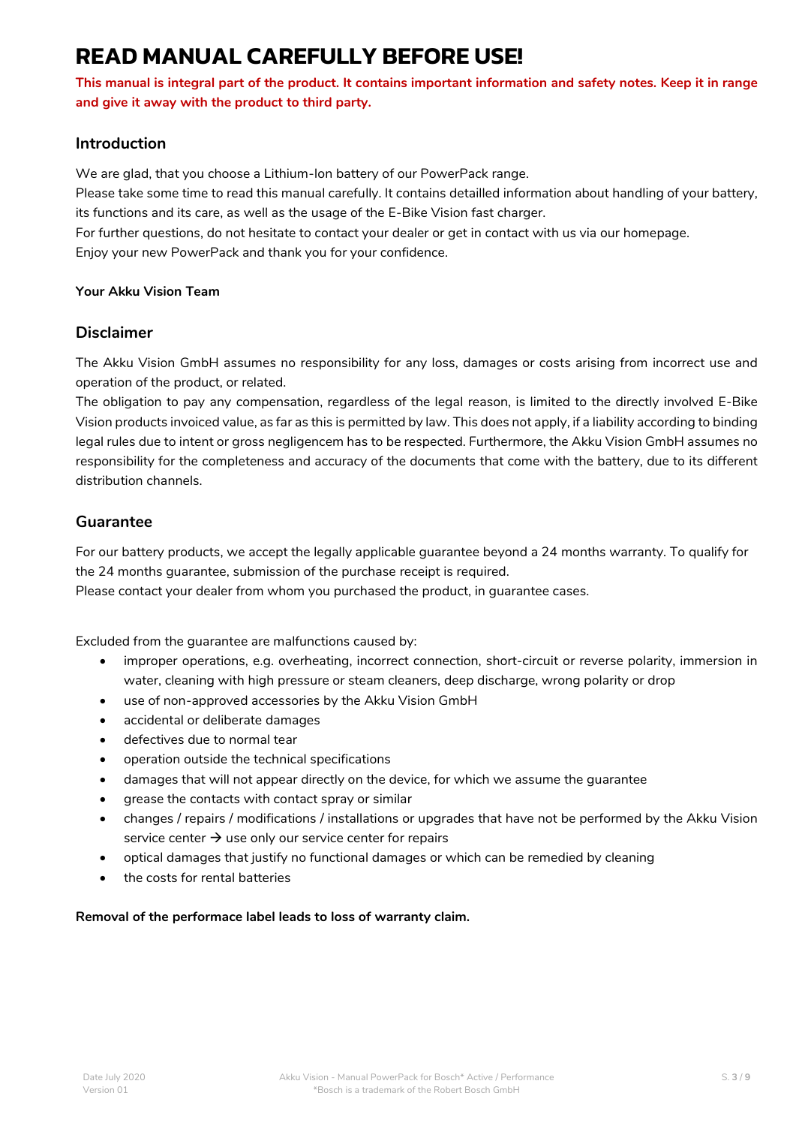# **READ MANUAL CAREFULLY BEFORE USE!**

**This manual is integral part of the product. It contains important information and safety notes. Keep it in range and give it away with the product to third party.**

### <span id="page-2-0"></span>**Introduction**

We are glad, that you choose a Lithium-Ion battery of our PowerPack range.

Please take some time to read this manual carefully. It contains detailled information about handling of your battery, its functions and its care, as well as the usage of the E-Bike Vision fast charger.

For further questions, do not hesitate to contact your dealer or get in contact with us via our homepage. Enjoy your new PowerPack and thank you for your confidence.

### **Your Akku Vision Team**

### <span id="page-2-1"></span>**Disclaimer**

The Akku Vision GmbH assumes no responsibility for any loss, damages or costs arising from incorrect use and operation of the product, or related.

The obligation to pay any compensation, regardless of the legal reason, is limited to the directly involved E-Bike Vision products invoiced value, as far as this is permitted by law. This does not apply, if a liability according to binding legal rules due to intent or gross negligencem has to be respected. Furthermore, the Akku Vision GmbH assumes no responsibility for the completeness and accuracy of the documents that come with the battery, due to its different distribution channels.

### <span id="page-2-2"></span>**Guarantee**

For our battery products, we accept the legally applicable guarantee beyond a 24 months warranty. To qualify for the 24 months guarantee, submission of the purchase receipt is required.

Please contact your dealer from whom you purchased the product, in guarantee cases.

Excluded from the guarantee are malfunctions caused by:

- improper operations, e.g. overheating, incorrect connection, short-circuit or reverse polarity, immersion in water, cleaning with high pressure or steam cleaners, deep discharge, wrong polarity or drop
- use of non-approved accessories by the Akku Vision GmbH
- accidental or deliberate damages
- defectives due to normal tear
- operation outside the technical specifications
- damages that will not appear directly on the device, for which we assume the guarantee
- grease the contacts with contact spray or similar
- changes / repairs / modifications / installations or upgrades that have not be performed by the Akku Vision service center  $\rightarrow$  use only our service center for repairs
- optical damages that justify no functional damages or which can be remedied by cleaning
- the costs for rental batteries

### **Removal of the performace label leads to loss of warranty claim.**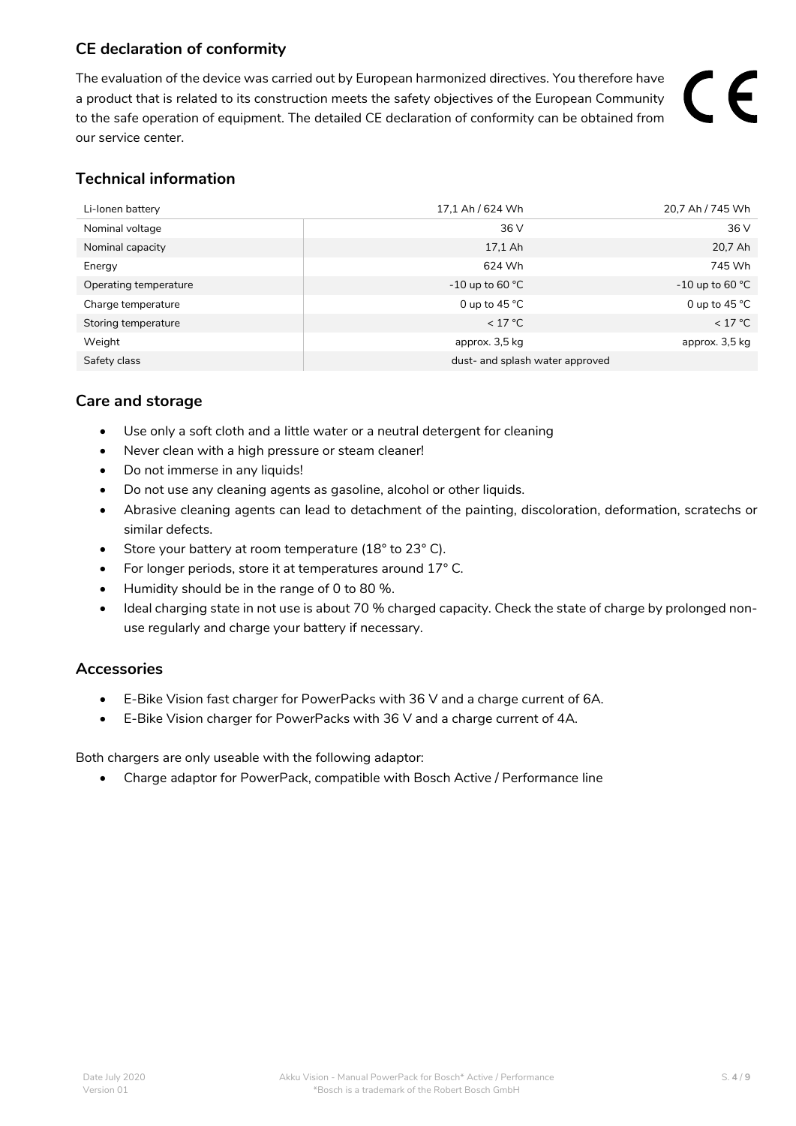# <span id="page-3-0"></span>**CE declaration of conformity**

The evaluation of the device was carried out by European harmonized directives. You therefore have a product that is related to its construction meets the safety objectives of the European Community to the safe operation of equipment. The detailed CE declaration of conformity can be obtained from our service center.

# <span id="page-3-1"></span>**Technical information**

| Li-lonen battery      | 17,1 Ah / 624 Wh                | 20,7 Ah / 745 Wh          |
|-----------------------|---------------------------------|---------------------------|
| Nominal voltage       | 36 V                            | 36 V                      |
| Nominal capacity      | 17,1 Ah                         | 20,7 Ah                   |
| Energy                | 624 Wh                          | 745 Wh                    |
| Operating temperature | -10 up to 60 $\degree$ C        | -10 up to 60 $^{\circ}$ C |
| Charge temperature    | 0 up to 45 $^{\circ}$ C         | 0 up to $45^{\circ}$ C    |
| Storing temperature   | < 17 °C                         | < 17 °C                   |
| Weight                | approx. 3,5 kg                  | approx. 3,5 kg            |
| Safety class          | dust- and splash water approved |                           |

# <span id="page-3-2"></span>**Care and storage**

- Use only a soft cloth and a little water or a neutral detergent for cleaning
- Never clean with a high pressure or steam cleaner!
- Do not immerse in any liquids!
- Do not use any cleaning agents as gasoline, alcohol or other liquids.
- Abrasive cleaning agents can lead to detachment of the painting, discoloration, deformation, scratechs or similar defects.
- Store your battery at room temperature (18° to 23° C).
- For longer periods, store it at temperatures around 17° C.
- Humidity should be in the range of 0 to 80 %.
- Ideal charging state in not use is about 70 % charged capacity. Check the state of charge by prolonged nonuse regularly and charge your battery if necessary.

## <span id="page-3-3"></span>**Accessories**

- E-Bike Vision fast charger for PowerPacks with 36 V and a charge current of 6A.
- E-Bike Vision charger for PowerPacks with 36 V and a charge current of 4A.

Both chargers are only useable with the following adaptor:

• Charge adaptor for PowerPack, compatible with Bosch Active / Performance line

 $\epsilon$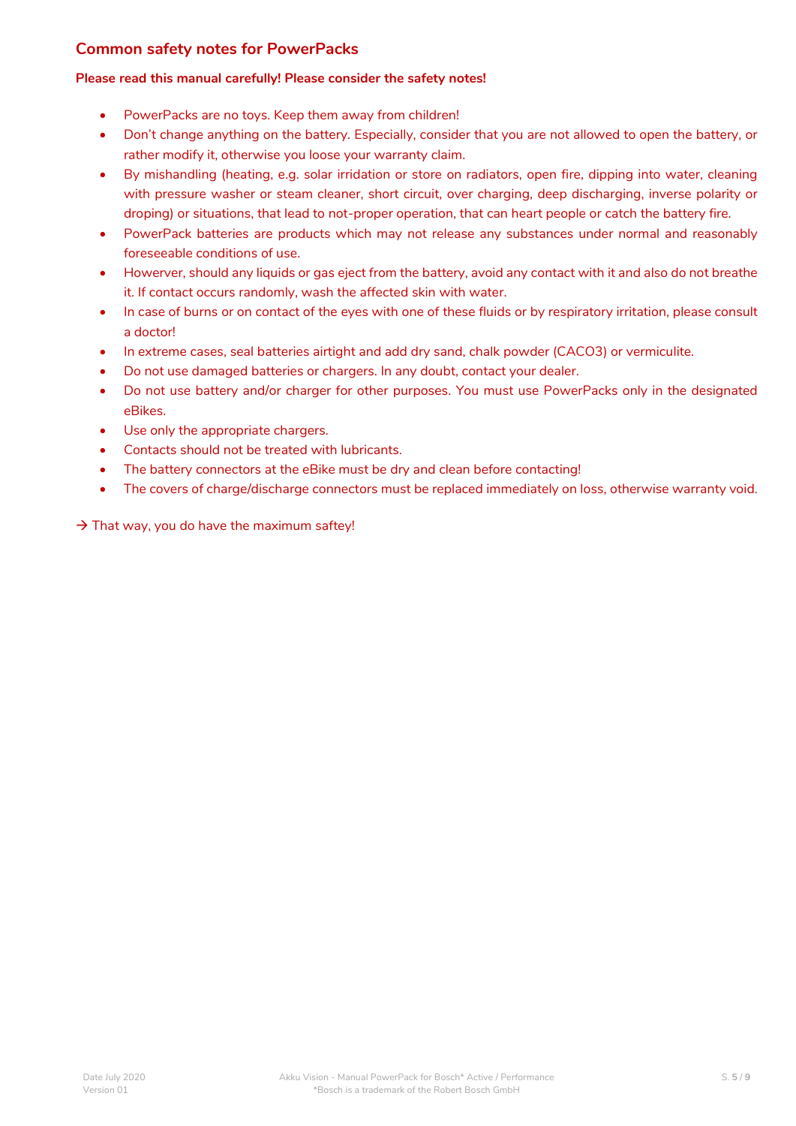# <span id="page-4-0"></span>**Common safety notes for PowerPacks**

### **Please read this manual carefully! Please consider the safety notes!**

- PowerPacks are no toys. Keep them away from children!
- Don't change anything on the battery. Especially, consider that you are not allowed to open the battery, or rather modify it, otherwise you loose your warranty claim.
- By mishandling (heating, e.g. solar irridation or store on radiators, open fire, dipping into water, cleaning with pressure washer or steam cleaner, short circuit, over charging, deep discharging, inverse polarity or droping) or situations, that lead to not-proper operation, that can heart people or catch the battery fire.
- PowerPack batteries are products which may not release any substances under normal and reasonably foreseeable conditions of use.
- Howerver, should any liquids or gas eject from the battery, avoid any contact with it and also do not breathe it. If contact occurs randomly, wash the affected skin with water.
- In case of burns or on contact of the eyes with one of these fluids or by respiratory irritation, please consult a doctor!
- In extreme cases, seal batteries airtight and add dry sand, chalk powder (CACO3) or vermiculite.
- Do not use damaged batteries or chargers. In any doubt, contact your dealer.
- Do not use battery and/or charger for other purposes. You must use PowerPacks only in the designated eBikes.
- Use only the appropriate chargers.
- Contacts should not be treated with lubricants.
- The battery connectors at the eBike must be dry and clean before contacting!
- The covers of charge/discharge connectors must be replaced immediately on loss, otherwise warranty void.

 $\rightarrow$  That way, you do have the maximum saftey!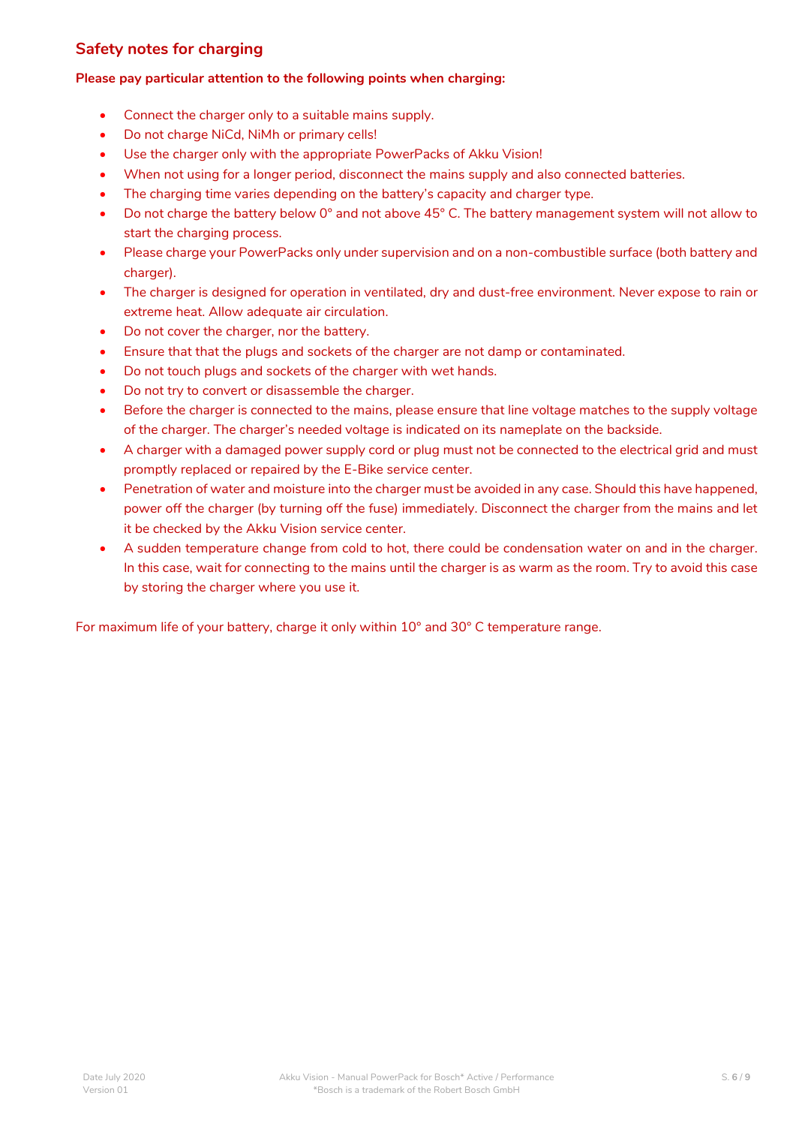## <span id="page-5-0"></span>**Safety notes for charging**

### **Please pay particular attention to the following points when charging:**

- Connect the charger only to a suitable mains supply.
- Do not charge NiCd, NiMh or primary cells!
- Use the charger only with the appropriate PowerPacks of Akku Vision!
- When not using for a longer period, disconnect the mains supply and also connected batteries.
- The charging time varies depending on the battery's capacity and charger type.
- Do not charge the battery below 0° and not above 45° C. The battery management system will not allow to start the charging process.
- Please charge your PowerPacks only under supervision and on a non-combustible surface (both battery and charger).
- The charger is designed for operation in ventilated, dry and dust-free environment. Never expose to rain or extreme heat. Allow adequate air circulation.
- Do not cover the charger, nor the battery.
- Ensure that that the plugs and sockets of the charger are not damp or contaminated.
- Do not touch plugs and sockets of the charger with wet hands.
- Do not try to convert or disassemble the charger.
- Before the charger is connected to the mains, please ensure that line voltage matches to the supply voltage of the charger. The charger's needed voltage is indicated on its nameplate on the backside.
- A charger with a damaged power supply cord or plug must not be connected to the electrical grid and must promptly replaced or repaired by the E-Bike service center.
- Penetration of water and moisture into the charger must be avoided in any case. Should this have happened, power off the charger (by turning off the fuse) immediately. Disconnect the charger from the mains and let it be checked by the Akku Vision service center.
- A sudden temperature change from cold to hot, there could be condensation water on and in the charger. In this case, wait for connecting to the mains until the charger is as warm as the room. Try to avoid this case by storing the charger where you use it.

For maximum life of your battery, charge it only within 10° and 30° C temperature range.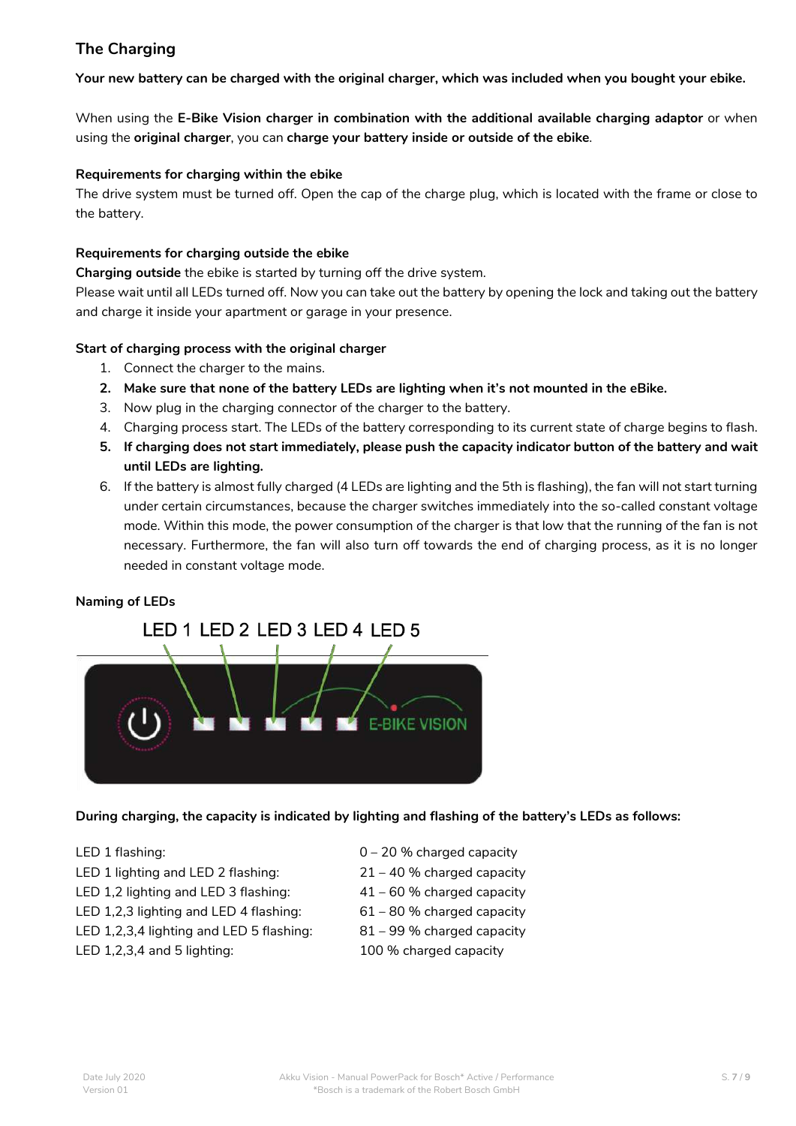# <span id="page-6-0"></span>**The Charging**

**Your new battery can be charged with the original charger, which was included when you bought your ebike.**

When using the **E-Bike Vision charger in combination with the additional available charging adaptor** or when using the **original charger**, you can **charge your battery inside or outside of the ebike**.

### **Requirements for charging within the ebike**

The drive system must be turned off. Open the cap of the charge plug, which is located with the frame or close to the battery.

### **Requirements for charging outside the ebike**

**Charging outside** the ebike is started by turning off the drive system.

Please wait until all LEDs turned off. Now you can take out the battery by opening the lock and taking out the battery and charge it inside your apartment or garage in your presence.

### **Start of charging process with the original charger**

- 1. Connect the charger to the mains.
- **2. Make sure that none of the battery LEDs are lighting when it's not mounted in the eBike.**
- 3. Now plug in the charging connector of the charger to the battery.
- 4. Charging process start. The LEDs of the battery corresponding to its current state of charge begins to flash.
- **5. If charging does not start immediately, please push the capacity indicator button of the battery and wait until LEDs are lighting.**
- 6. If the battery is almost fully charged (4 LEDs are lighting and the 5th is flashing), the fan will not start turning under certain circumstances, because the charger switches immediately into the so-called constant voltage mode. Within this mode, the power consumption of the charger is that low that the running of the fan is not necessary. Furthermore, the fan will also turn off towards the end of charging process, as it is no longer needed in constant voltage mode.

### **Naming of LEDs**

# LED 1 LED 2 LED 3 LED 4 LED 5



### **During charging, the capacity is indicated by lighting and flashing of the battery's LEDs as follows:**

- 
- LED 1 lighting and LED 2 flashing: 21 40 % charged capacity
- LED 1,2 lighting and LED 3 flashing:  $41 60$  % charged capacity
- LED 1,2,3 lighting and LED 4 flashing:  $61 80$  % charged capacity
- LED 1,2,3,4 lighting and LED 5 flashing: 81 99 % charged capacity
- LED 1,2,3,4 and 5 lighting: 100 % charged capacity
- LED 1 flashing:  $0 20$  % charged capacity
	-
	-
	-
	-
	-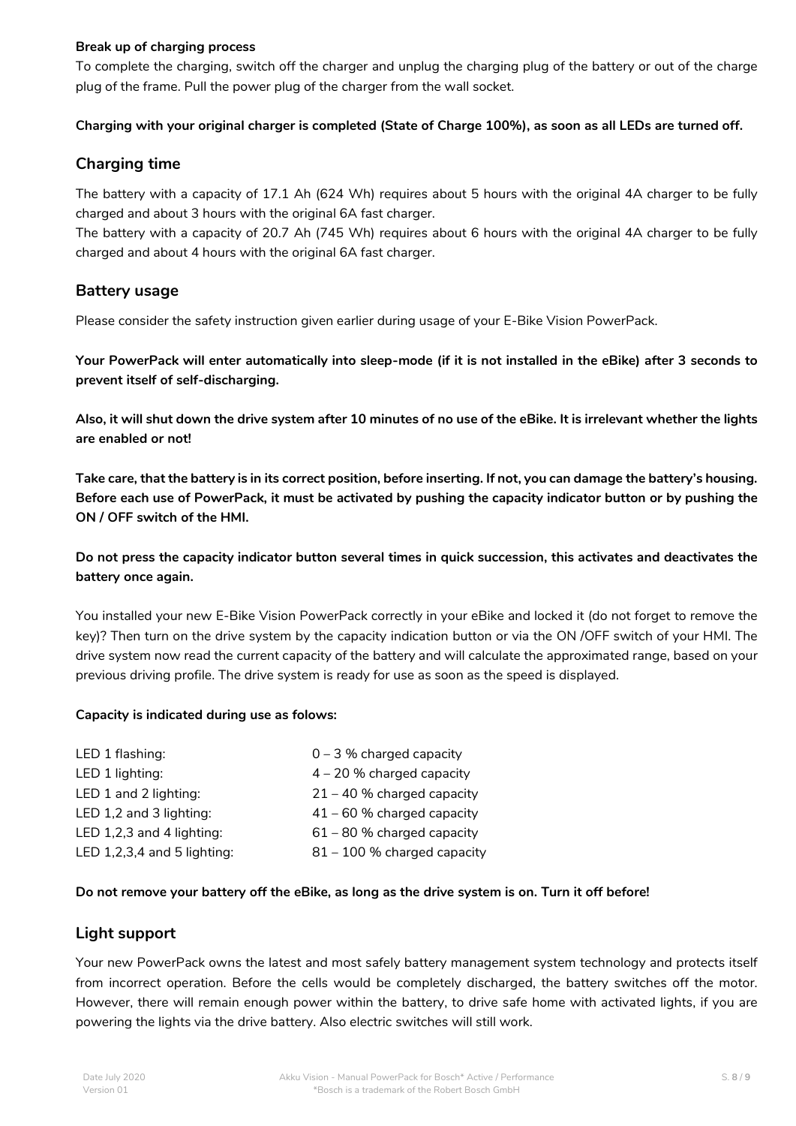### **Break up of charging process**

To complete the charging, switch off the charger and unplug the charging plug of the battery or out of the charge plug of the frame. Pull the power plug of the charger from the wall socket.

### **Charging with your original charger is completed (State of Charge 100%), as soon as all LEDs are turned off.**

### <span id="page-7-0"></span>**Charging time**

The battery with a capacity of 17.1 Ah (624 Wh) requires about 5 hours with the original 4A charger to be fully charged and about 3 hours with the original 6A fast charger.

The battery with a capacity of 20.7 Ah (745 Wh) requires about 6 hours with the original 4A charger to be fully charged and about 4 hours with the original 6A fast charger.

## <span id="page-7-1"></span>**Battery usage**

Please consider the safety instruction given earlier during usage of your E-Bike Vision PowerPack.

**Your PowerPack will enter automatically into sleep-mode (if it is not installed in the eBike) after 3 seconds to prevent itself of self-discharging.**

**Also, it will shut down the drive system after 10 minutes of no use of the eBike. It is irrelevant whether the lights are enabled or not!**

**Take care, that the battery is in its correct position, before inserting. If not, you can damage the battery's housing. Before each use of PowerPack, it must be activated by pushing the capacity indicator button or by pushing the ON / OFF switch of the HMI.**

**Do not press the capacity indicator button several times in quick succession, this activates and deactivates the battery once again.**

You installed your new E-Bike Vision PowerPack correctly in your eBike and locked it (do not forget to remove the key)? Then turn on the drive system by the capacity indication button or via the ON /OFF switch of your HMI. The drive system now read the current capacity of the battery and will calculate the approximated range, based on your previous driving profile. The drive system is ready for use as soon as the speed is displayed.

### **Capacity is indicated during use as folows:**

| LED 1 flashing:             | $0 - 3$ % charged capacity   |
|-----------------------------|------------------------------|
| LED 1 lighting:             | $4 - 20$ % charged capacity  |
| LED 1 and 2 lighting:       | $21 - 40$ % charged capacity |
| LED 1,2 and 3 lighting:     | $41 - 60$ % charged capacity |
| LED 1,2,3 and 4 lighting:   | $61 - 80$ % charged capacity |
| LED 1,2,3,4 and 5 lighting: | 81 - 100 % charged capacity  |

### **Do not remove your battery off the eBike, as long as the drive system is on. Turn it off before!**

### <span id="page-7-2"></span>**Light support**

Your new PowerPack owns the latest and most safely battery management system technology and protects itself from incorrect operation. Before the cells would be completely discharged, the battery switches off the motor. However, there will remain enough power within the battery, to drive safe home with activated lights, if you are powering the lights via the drive battery. Also electric switches will still work.